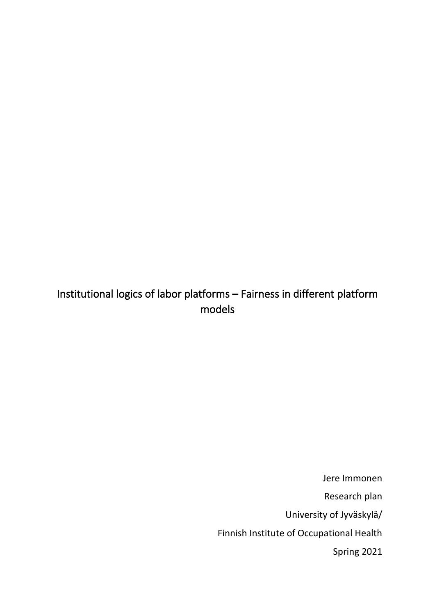# Institutional logics of labor platforms – Fairness in different platform models

Jere Immonen Research plan University of Jyväskylä/ Finnish Institute of Occupational Health Spring 2021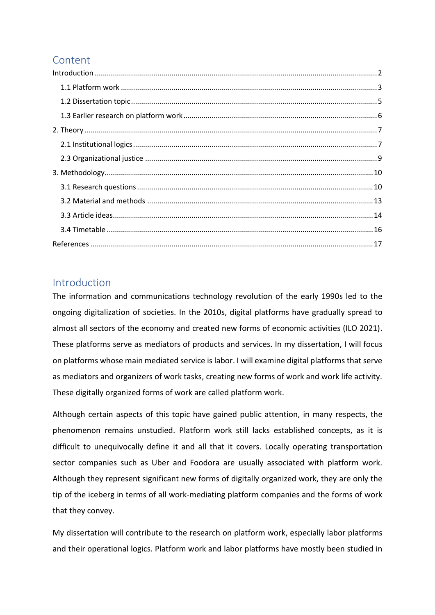## Content

### <span id="page-1-0"></span>Introduction

The information and communications technology revolution of the early 1990s led to the ongoing digitalization of societies. In the 2010s, digital platforms have gradually spread to almost all sectors of the economy and created new forms of economic activities (ILO 2021). These platforms serve as mediators of products and services. In my dissertation, I will focus on platforms whose main mediated service is labor. I will examine digital platforms that serve as mediators and organizers of work tasks, creating new forms of work and work life activity. These digitally organized forms of work are called platform work.

Although certain aspects of this topic have gained public attention, in many respects, the phenomenon remains unstudied. Platform work still lacks established concepts, as it is difficult to unequivocally define it and all that it covers. Locally operating transportation sector companies such as Uber and Foodora are usually associated with platform work. Although they represent significant new forms of digitally organized work, they are only the tip of the iceberg in terms of all work-mediating platform companies and the forms of work that they convey.

My dissertation will contribute to the research on platform work, especially labor platforms and their operational logics. Platform work and labor platforms have mostly been studied in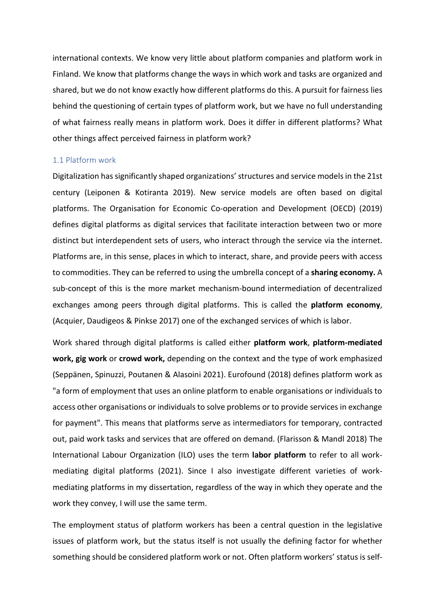international contexts. We know very little about platform companies and platform work in Finland. We know that platforms change the ways in which work and tasks are organized and shared, but we do not know exactly how different platforms do this. A pursuit for fairness lies behind the questioning of certain types of platform work, but we have no full understanding of what fairness really means in platform work. Does it differ in different platforms? What other things affect perceived fairness in platform work?

### <span id="page-2-0"></span>1.1 Platform work

Digitalization has significantly shaped organizations' structures and service models in the 21st century (Leiponen & Kotiranta 2019). New service models are often based on digital platforms. The Organisation for Economic Co-operation and Development (OECD) (2019) defines digital platforms as digital services that facilitate interaction between two or more distinct but interdependent sets of users, who interact through the service via the internet. Platforms are, in this sense, places in which to interact, share, and provide peers with access to commodities. They can be referred to using the umbrella concept of a **sharing economy.** A sub-concept of this is the more market mechanism-bound intermediation of decentralized exchanges among peers through digital platforms. This is called the **platform economy**, (Acquier, Daudigeos & Pinkse 2017) one of the exchanged services of which is labor.

Work shared through digital platforms is called either **platform work**, **platform-mediated work, gig work** or **crowd work,** depending on the context and the type of work emphasized (Seppänen, Spinuzzi, Poutanen & Alasoini 2021). Eurofound (2018) defines platform work as "a form of employment that uses an online platform to enable organisations or individuals to access other organisations or individuals to solve problems or to provide services in exchange for payment". This means that platforms serve as intermediators for temporary, contracted out, paid work tasks and services that are offered on demand. (Flarisson & Mandl 2018) The International Labour Organization (ILO) uses the term **labor platform** to refer to all workmediating digital platforms (2021). Since I also investigate different varieties of workmediating platforms in my dissertation, regardless of the way in which they operate and the work they convey, I will use the same term.

The employment status of platform workers has been a central question in the legislative issues of platform work, but the status itself is not usually the defining factor for whether something should be considered platform work or not. Often platform workers' status is self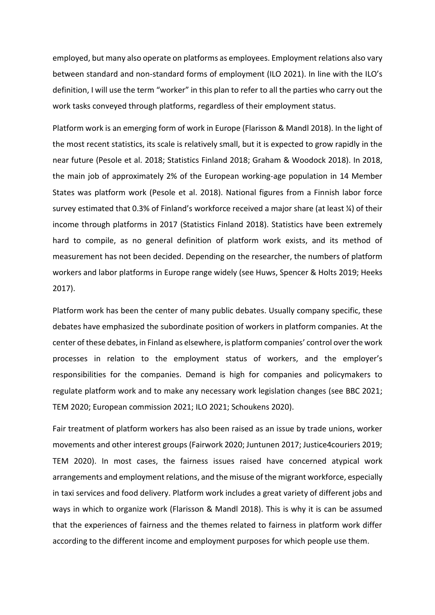employed, but many also operate on platforms as employees. Employment relations also vary between standard and non-standard forms of employment (ILO 2021). In line with the ILO's definition, I will use the term "worker" in this plan to refer to all the parties who carry out the work tasks conveyed through platforms, regardless of their employment status.

Platform work is an emerging form of work in Europe (Flarisson & Mandl 2018). In the light of the most recent statistics, its scale is relatively small, but it is expected to grow rapidly in the near future (Pesole et al. 2018; Statistics Finland 2018; Graham & Woodock 2018). In 2018, the main job of approximately 2% of the European working-age population in 14 Member States was platform work (Pesole et al. 2018). National figures from a Finnish labor force survey estimated that 0.3% of Finland's workforce received a major share (at least ¼) of their income through platforms in 2017 (Statistics Finland 2018). Statistics have been extremely hard to compile, as no general definition of platform work exists, and its method of measurement has not been decided. Depending on the researcher, the numbers of platform workers and labor platforms in Europe range widely (see Huws, Spencer & Holts 2019; Heeks 2017).

Platform work has been the center of many public debates. Usually company specific, these debates have emphasized the subordinate position of workers in platform companies. At the center of these debates, in Finland as elsewhere, is platform companies' control over the work processes in relation to the employment status of workers, and the employer's responsibilities for the companies. Demand is high for companies and policymakers to regulate platform work and to make any necessary work legislation changes (see BBC 2021; TEM 2020; European commission 2021; ILO 2021; Schoukens 2020).

Fair treatment of platform workers has also been raised as an issue by trade unions, worker movements and other interest groups (Fairwork 2020; Juntunen 2017; Justice4couriers 2019; TEM 2020). In most cases, the fairness issues raised have concerned atypical work arrangements and employment relations, and the misuse of the migrant workforce, especially in taxi services and food delivery. Platform work includes a great variety of different jobs and ways in which to organize work (Flarisson & Mandl 2018). This is why it is can be assumed that the experiences of fairness and the themes related to fairness in platform work differ according to the different income and employment purposes for which people use them.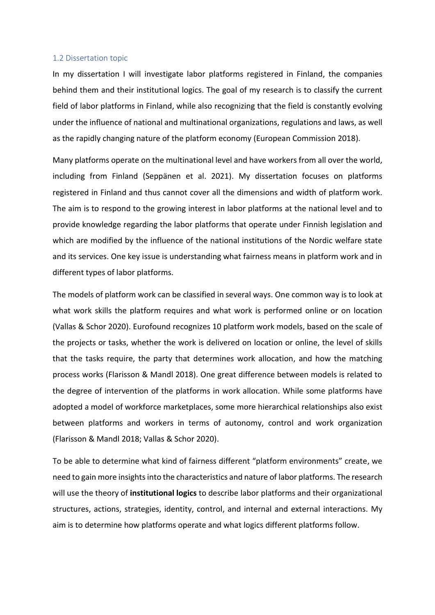#### <span id="page-4-0"></span>1.2 Dissertation topic

In my dissertation I will investigate labor platforms registered in Finland, the companies behind them and their institutional logics. The goal of my research is to classify the current field of labor platforms in Finland, while also recognizing that the field is constantly evolving under the influence of national and multinational organizations, regulations and laws, as well as the rapidly changing nature of the platform economy (European Commission 2018).

Many platforms operate on the multinational level and have workers from all over the world, including from Finland (Seppänen et al. 2021). My dissertation focuses on platforms registered in Finland and thus cannot cover all the dimensions and width of platform work. The aim is to respond to the growing interest in labor platforms at the national level and to provide knowledge regarding the labor platforms that operate under Finnish legislation and which are modified by the influence of the national institutions of the Nordic welfare state and its services. One key issue is understanding what fairness means in platform work and in different types of labor platforms.

The models of platform work can be classified in several ways. One common way is to look at what work skills the platform requires and what work is performed online or on location (Vallas & Schor 2020). Eurofound recognizes 10 platform work models, based on the scale of the projects or tasks, whether the work is delivered on location or online, the level of skills that the tasks require, the party that determines work allocation, and how the matching process works (Flarisson & Mandl 2018). One great difference between models is related to the degree of intervention of the platforms in work allocation. While some platforms have adopted a model of workforce marketplaces, some more hierarchical relationships also exist between platforms and workers in terms of autonomy, control and work organization (Flarisson & Mandl 2018; Vallas & Schor 2020).

To be able to determine what kind of fairness different "platform environments" create, we need to gain more insights into the characteristics and nature of labor platforms. The research will use the theory of **institutional logics** to describe labor platforms and their organizational structures, actions, strategies, identity, control, and internal and external interactions. My aim is to determine how platforms operate and what logics different platforms follow.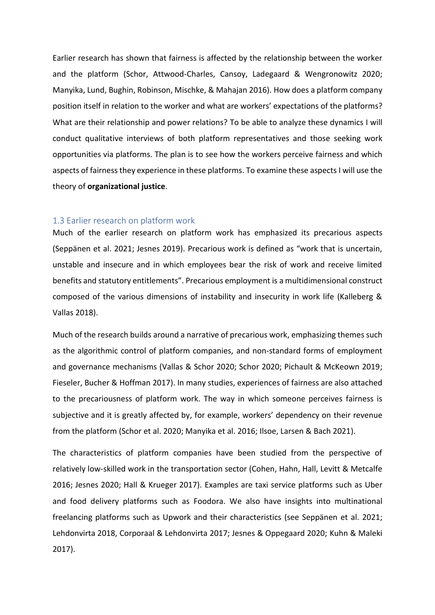Earlier research has shown that fairness is affected by the relationship between the worker and the platform (Schor, Attwood-Charles, Cansoy, Ladegaard & Wengronowitz 2020; Manyika, Lund, Bughin, Robinson, Mischke, & Mahajan 2016). How does a platform company position itself in relation to the worker and what are workers' expectations of the platforms? What are their relationship and power relations? To be able to analyze these dynamics I will conduct qualitative interviews of both platform representatives and those seeking work opportunities via platforms. The plan is to see how the workers perceive fairness and which aspects of fairness they experience in these platforms. To examine these aspects I will use the theory of **organizational justice**.

### <span id="page-5-0"></span>1.3 Earlier research on platform work

Much of the earlier research on platform work has emphasized its precarious aspects (Seppänen et al. 2021; Jesnes 2019). Precarious work is defined as "work that is uncertain, unstable and insecure and in which employees bear the risk of work and receive limited benefits and statutory entitlements". Precarious employment is a multidimensional construct composed of the various dimensions of instability and insecurity in work life (Kalleberg & Vallas 2018).

Much of the research builds around a narrative of precarious work, emphasizing themes such as the algorithmic control of platform companies, and non-standard forms of employment and governance mechanisms (Vallas & Schor 2020; Schor 2020; Pichault & McKeown 2019; Fieseler, Bucher & Hoffman 2017). In many studies, experiences of fairness are also attached to the precariousness of platform work. The way in which someone perceives fairness is subjective and it is greatly affected by, for example, workers' dependency on their revenue from the platform (Schor et al. 2020; Manyika et al. 2016; Ilsoe, Larsen & Bach 2021).

The characteristics of platform companies have been studied from the perspective of relatively low-skilled work in the transportation sector (Cohen, Hahn, Hall, Levitt & Metcalfe 2016; Jesnes 2020; Hall & Krueger 2017). Examples are taxi service platforms such as Uber and food delivery platforms such as Foodora. We also have insights into multinational freelancing platforms such as Upwork and their characteristics (see Seppänen et al. 2021; Lehdonvirta 2018, Corporaal & Lehdonvirta 2017; Jesnes & Oppegaard 2020; Kuhn & Maleki 2017).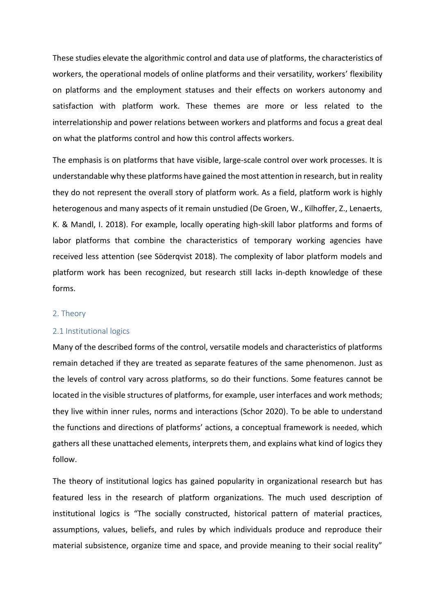These studies elevate the algorithmic control and data use of platforms, the characteristics of workers, the operational models of online platforms and their versatility, workers' flexibility on platforms and the employment statuses and their effects on workers autonomy and satisfaction with platform work. These themes are more or less related to the interrelationship and power relations between workers and platforms and focus a great deal on what the platforms control and how this control affects workers.

The emphasis is on platforms that have visible, large-scale control over work processes. It is understandable why these platforms have gained the most attention in research, but in reality they do not represent the overall story of platform work. As a field, platform work is highly heterogenous and many aspects of it remain unstudied (De Groen, W., Kilhoffer, Z., Lenaerts, K. & Mandl, I. 2018). For example, locally operating high-skill labor platforms and forms of labor platforms that combine the characteristics of temporary working agencies have received less attention (see Söderqvist 2018). The complexity of labor platform models and platform work has been recognized, but research still lacks in-depth knowledge of these forms.

#### <span id="page-6-0"></span>2. Theory

#### <span id="page-6-1"></span>2.1 Institutional logics

Many of the described forms of the control, versatile models and characteristics of platforms remain detached if they are treated as separate features of the same phenomenon. Just as the levels of control vary across platforms, so do their functions. Some features cannot be located in the visible structures of platforms, for example, user interfaces and work methods; they live within inner rules, norms and interactions (Schor 2020). To be able to understand the functions and directions of platforms' actions, a conceptual framework is needed, which gathers all these unattached elements, interprets them, and explains what kind of logics they follow.

The theory of institutional logics has gained popularity in organizational research but has featured less in the research of platform organizations. The much used description of institutional logics is "The socially constructed, historical pattern of material practices, assumptions, values, beliefs, and rules by which individuals produce and reproduce their material subsistence, organize time and space, and provide meaning to their social reality"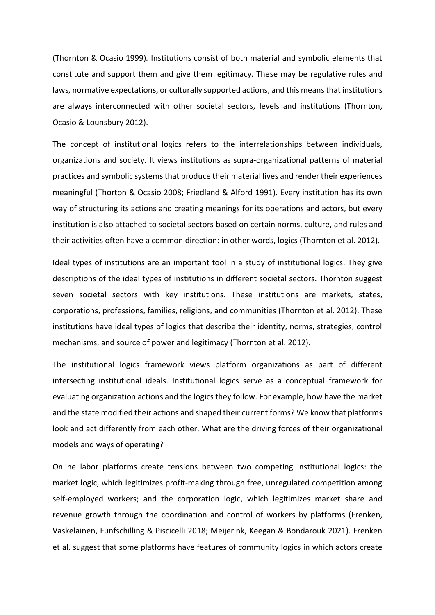(Thornton & Ocasio 1999)*.* Institutions consist of both material and symbolic elements that constitute and support them and give them legitimacy. These may be regulative rules and laws, normative expectations, or culturally supported actions, and this means that institutions are always interconnected with other societal sectors, levels and institutions (Thornton, Ocasio & Lounsbury 2012).

The concept of institutional logics refers to the interrelationships between individuals, organizations and society. It views institutions as supra-organizational patterns of material practices and symbolic systems that produce their material lives and render their experiences meaningful (Thorton & Ocasio 2008; Friedland & Alford 1991). Every institution has its own way of structuring its actions and creating meanings for its operations and actors, but every institution is also attached to societal sectors based on certain norms, culture, and rules and their activities often have a common direction: in other words, logics (Thornton et al. 2012).

Ideal types of institutions are an important tool in a study of institutional logics. They give descriptions of the ideal types of institutions in different societal sectors. Thornton suggest seven societal sectors with key institutions. These institutions are markets, states, corporations, professions, families, religions, and communities (Thornton et al. 2012). These institutions have ideal types of logics that describe their identity, norms, strategies, control mechanisms, and source of power and legitimacy (Thornton et al. 2012).

The institutional logics framework views platform organizations as part of different intersecting institutional ideals. Institutional logics serve as a conceptual framework for evaluating organization actions and the logics they follow. For example, how have the market and the state modified their actions and shaped their current forms? We know that platforms look and act differently from each other. What are the driving forces of their organizational models and ways of operating?

Online labor platforms create tensions between two competing institutional logics: the market logic, which legitimizes profit-making through free, unregulated competition among self-employed workers; and the corporation logic, which legitimizes market share and revenue growth through the coordination and control of workers by platforms (Frenken, Vaskelainen, Funfschilling & Piscicelli 2018; Meijerink, Keegan & Bondarouk 2021). Frenken et al. suggest that some platforms have features of community logics in which actors create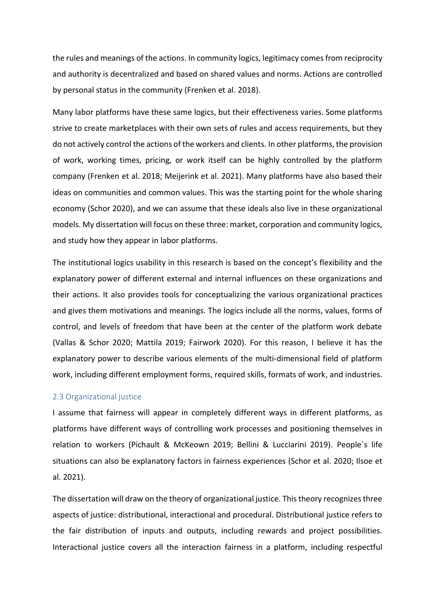the rules and meanings of the actions. In community logics, legitimacy comes from reciprocity and authority is decentralized and based on shared values and norms. Actions are controlled by personal status in the community (Frenken et al. 2018).

Many labor platforms have these same logics, but their effectiveness varies. Some platforms strive to create marketplaces with their own sets of rules and access requirements, but they do not actively control the actions of the workers and clients. In other platforms, the provision of work, working times, pricing, or work itself can be highly controlled by the platform company (Frenken et al. 2018; Meijerink et al. 2021). Many platforms have also based their ideas on communities and common values. This was the starting point for the whole sharing economy (Schor 2020), and we can assume that these ideals also live in these organizational models. My dissertation will focus on these three: market, corporation and community logics, and study how they appear in labor platforms.

The institutional logics usability in this research is based on the concept's flexibility and the explanatory power of different external and internal influences on these organizations and their actions. It also provides tools for conceptualizing the various organizational practices and gives them motivations and meanings. The logics include all the norms, values, forms of control, and levels of freedom that have been at the center of the platform work debate (Vallas & Schor 2020; Mattila 2019; Fairwork 2020). For this reason, I believe it has the explanatory power to describe various elements of the multi-dimensional field of platform work, including different employment forms, required skills, formats of work, and industries.

### <span id="page-8-0"></span>2.3 Organizational justice

I assume that fairness will appear in completely different ways in different platforms, as platforms have different ways of controlling work processes and positioning themselves in relation to workers (Pichault & McKeown 2019; Bellini & Lucciarini 2019). People´s life situations can also be explanatory factors in fairness experiences (Schor et al. 2020; Ilsoe et al. 2021).

The dissertation will draw on the theory of organizational justice. This theory recognizes three aspects of justice: distributional, interactional and procedural. Distributional justice refers to the fair distribution of inputs and outputs, including rewards and project possibilities. Interactional justice covers all the interaction fairness in a platform, including respectful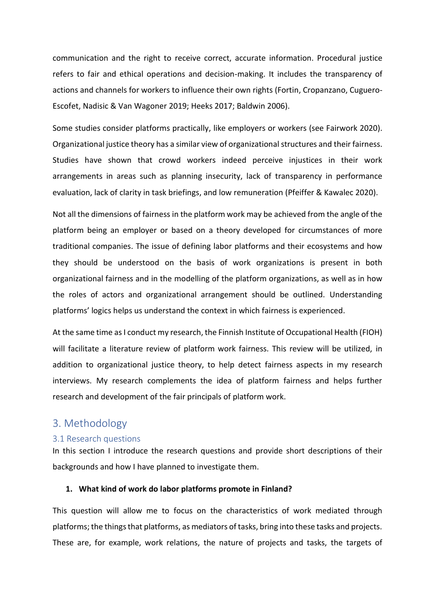communication and the right to receive correct, accurate information. Procedural justice refers to fair and ethical operations and decision-making. It includes the transparency of actions and channels for workers to influence their own rights (Fortin, Cropanzano, Cuguero-Escofet, Nadisic & Van Wagoner 2019; Heeks 2017; Baldwin 2006).

Some studies consider platforms practically, like employers or workers (see Fairwork 2020). Organizational justice theory has a similar view of organizational structures and their fairness. Studies have shown that crowd workers indeed perceive injustices in their work arrangements in areas such as planning insecurity, lack of transparency in performance evaluation, lack of clarity in task briefings, and low remuneration (Pfeiffer & Kawalec 2020).

Not all the dimensions of fairness in the platform work may be achieved from the angle of the platform being an employer or based on a theory developed for circumstances of more traditional companies. The issue of defining labor platforms and their ecosystems and how they should be understood on the basis of work organizations is present in both organizational fairness and in the modelling of the platform organizations, as well as in how the roles of actors and organizational arrangement should be outlined. Understanding platforms' logics helps us understand the context in which fairness is experienced.

At the same time as I conduct my research, the Finnish Institute of Occupational Health (FIOH) will facilitate a literature review of platform work fairness. This review will be utilized, in addition to organizational justice theory, to help detect fairness aspects in my research interviews. My research complements the idea of platform fairness and helps further research and development of the fair principals of platform work.

### <span id="page-9-0"></span>3. Methodology

### <span id="page-9-1"></span>3.1 Research questions

In this section I introduce the research questions and provide short descriptions of their backgrounds and how I have planned to investigate them.

### **1. What kind of work do labor platforms promote in Finland?**

This question will allow me to focus on the characteristics of work mediated through platforms; the things that platforms, as mediators of tasks, bring into these tasks and projects. These are, for example, work relations, the nature of projects and tasks, the targets of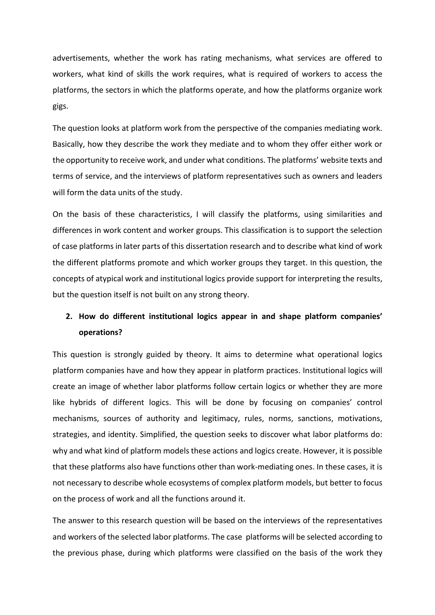advertisements, whether the work has rating mechanisms, what services are offered to workers, what kind of skills the work requires, what is required of workers to access the platforms, the sectors in which the platforms operate, and how the platforms organize work gigs.

The question looks at platform work from the perspective of the companies mediating work. Basically, how they describe the work they mediate and to whom they offer either work or the opportunity to receive work, and under what conditions. The platforms' website texts and terms of service, and the interviews of platform representatives such as owners and leaders will form the data units of the study.

On the basis of these characteristics, I will classify the platforms, using similarities and differences in work content and worker groups. This classification is to support the selection of case platforms in later parts of this dissertation research and to describe what kind of work the different platforms promote and which worker groups they target. In this question, the concepts of atypical work and institutional logics provide support for interpreting the results, but the question itself is not built on any strong theory.

### **2. How do different institutional logics appear in and shape platform companies' operations?**

This question is strongly guided by theory. It aims to determine what operational logics platform companies have and how they appear in platform practices. Institutional logics will create an image of whether labor platforms follow certain logics or whether they are more like hybrids of different logics. This will be done by focusing on companies' control mechanisms, sources of authority and legitimacy, rules, norms, sanctions, motivations, strategies, and identity. Simplified, the question seeks to discover what labor platforms do: why and what kind of platform models these actions and logics create. However, it is possible that these platforms also have functions other than work-mediating ones. In these cases, it is not necessary to describe whole ecosystems of complex platform models, but better to focus on the process of work and all the functions around it.

The answer to this research question will be based on the interviews of the representatives and workers of the selected labor platforms. The case platforms will be selected according to the previous phase, during which platforms were classified on the basis of the work they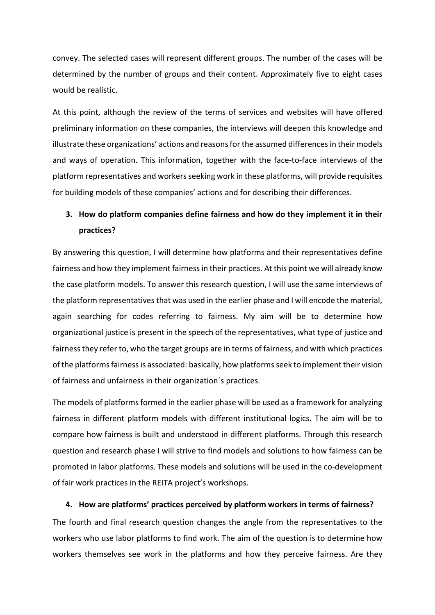convey. The selected cases will represent different groups. The number of the cases will be determined by the number of groups and their content. Approximately five to eight cases would be realistic.

At this point, although the review of the terms of services and websites will have offered preliminary information on these companies, the interviews will deepen this knowledge and illustrate these organizations' actions and reasons for the assumed differences in their models and ways of operation. This information, together with the face-to-face interviews of the platform representatives and workers seeking work in these platforms, will provide requisites for building models of these companies' actions and for describing their differences.

## **3. How do platform companies define fairness and how do they implement it in their practices?**

By answering this question, I will determine how platforms and their representatives define fairness and how they implement fairness in their practices. At this point we will already know the case platform models. To answer this research question, I will use the same interviews of the platform representatives that was used in the earlier phase and I will encode the material, again searching for codes referring to fairness. My aim will be to determine how organizational justice is present in the speech of the representatives, what type of justice and fairness they refer to, who the target groups are in terms of fairness, and with which practices of the platforms fairness is associated: basically, how platforms seek to implement their vision of fairness and unfairness in their organization´s practices.

The models of platforms formed in the earlier phase will be used as a framework for analyzing fairness in different platform models with different institutional logics. The aim will be to compare how fairness is built and understood in different platforms. Through this research question and research phase I will strive to find models and solutions to how fairness can be promoted in labor platforms. These models and solutions will be used in the co-development of fair work practices in the REITA project's workshops.

### **4. How are platforms' practices perceived by platform workers in terms of fairness?**

The fourth and final research question changes the angle from the representatives to the workers who use labor platforms to find work. The aim of the question is to determine how workers themselves see work in the platforms and how they perceive fairness. Are they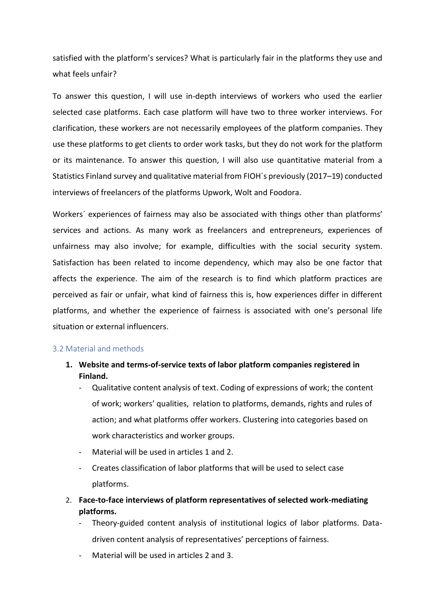satisfied with the platform's services? What is particularly fair in the platforms they use and what feels unfair?

To answer this question, I will use in-depth interviews of workers who used the earlier selected case platforms. Each case platform will have two to three worker interviews. For clarification, these workers are not necessarily employees of the platform companies. They use these platforms to get clients to order work tasks, but they do not work for the platform or its maintenance. To answer this question, I will also use quantitative material from a Statistics Finland survey and qualitative material from FIOH´s previously (2017–19) conducted interviews of freelancers of the platforms Upwork, Wolt and Foodora.

Workers´ experiences of fairness may also be associated with things other than platforms' services and actions. As many work as freelancers and entrepreneurs, experiences of unfairness may also involve; for example, difficulties with the social security system. Satisfaction has been related to income dependency, which may also be one factor that affects the experience. The aim of the research is to find which platform practices are perceived as fair or unfair, what kind of fairness this is, how experiences differ in different platforms, and whether the experience of fairness is associated with one's personal life situation or external influencers.

#### <span id="page-12-0"></span>3.2 Material and methods

- **1. Website and terms-of-service texts of labor platform companies registered in Finland.** 
	- Qualitative content analysis of text. Coding of expressions of work; the content of work; workers' qualities, relation to platforms, demands, rights and rules of action; and what platforms offer workers. Clustering into categories based on work characteristics and worker groups.
	- Material will be used in articles 1 and 2.
	- Creates classification of labor platforms that will be used to select case platforms.
- 2. **Face-to-face interviews of platform representatives of selected work-mediating platforms.** 
	- Theory-guided content analysis of institutional logics of labor platforms. Datadriven content analysis of representatives' perceptions of fairness.
	- Material will be used in articles 2 and 3.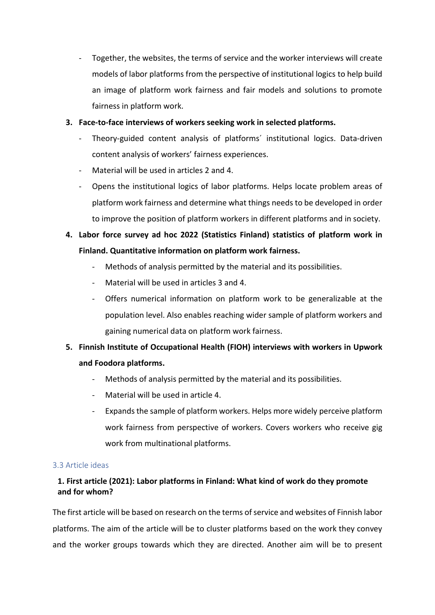Together, the websites, the terms of service and the worker interviews will create models of labor platforms from the perspective of institutional logics to help build an image of platform work fairness and fair models and solutions to promote fairness in platform work.

### **3. Face-to-face interviews of workers seeking work in selected platforms.**

- Theory-guided content analysis of platforms' institutional logics. Data-driven content analysis of workers' fairness experiences.
- Material will be used in articles 2 and 4.
- Opens the institutional logics of labor platforms. Helps locate problem areas of platform work fairness and determine what things needs to be developed in order to improve the position of platform workers in different platforms and in society.
- **4. Labor force survey ad hoc 2022 (Statistics Finland) statistics of platform work in Finland. Quantitative information on platform work fairness.** 
	- Methods of analysis permitted by the material and its possibilities.
	- Material will be used in articles 3 and 4.
	- Offers numerical information on platform work to be generalizable at the population level. Also enables reaching wider sample of platform workers and gaining numerical data on platform work fairness.

## **5. Finnish Institute of Occupational Health (FIOH) interviews with workers in Upwork and Foodora platforms.**

- Methods of analysis permitted by the material and its possibilities.
- Material will be used in article 4.
- Expands the sample of platform workers. Helps more widely perceive platform work fairness from perspective of workers. Covers workers who receive gig work from multinational platforms.

### <span id="page-13-0"></span>3.3 Article ideas

### **1. First article (2021): Labor platforms in Finland: What kind of work do they promote and for whom?**

The first article will be based on research on the terms of service and websites of Finnish labor platforms. The aim of the article will be to cluster platforms based on the work they convey and the worker groups towards which they are directed. Another aim will be to present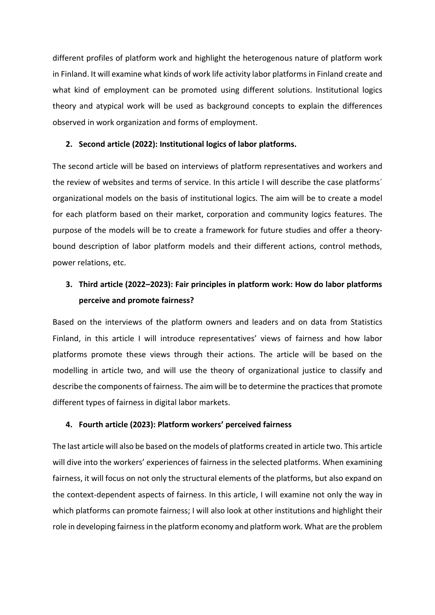different profiles of platform work and highlight the heterogenous nature of platform work in Finland. It will examine what kinds of work life activity labor platforms in Finland create and what kind of employment can be promoted using different solutions. Institutional logics theory and atypical work will be used as background concepts to explain the differences observed in work organization and forms of employment.

### **2. Second article (2022): Institutional logics of labor platforms.**

The second article will be based on interviews of platform representatives and workers and the review of websites and terms of service. In this article I will describe the case platforms´ organizational models on the basis of institutional logics. The aim will be to create a model for each platform based on their market, corporation and community logics features. The purpose of the models will be to create a framework for future studies and offer a theorybound description of labor platform models and their different actions, control methods, power relations, etc.

## **3. Third article (2022–2023): Fair principles in platform work: How do labor platforms perceive and promote fairness?**

Based on the interviews of the platform owners and leaders and on data from Statistics Finland, in this article I will introduce representatives' views of fairness and how labor platforms promote these views through their actions. The article will be based on the modelling in article two, and will use the theory of organizational justice to classify and describe the components of fairness. The aim will be to determine the practices that promote different types of fairness in digital labor markets.

### **4. Fourth article (2023): Platform workers' perceived fairness**

The last article will also be based on the models of platforms created in article two. This article will dive into the workers' experiences of fairness in the selected platforms. When examining fairness, it will focus on not only the structural elements of the platforms, but also expand on the context-dependent aspects of fairness. In this article, I will examine not only the way in which platforms can promote fairness; I will also look at other institutions and highlight their role in developing fairness in the platform economy and platform work. What are the problem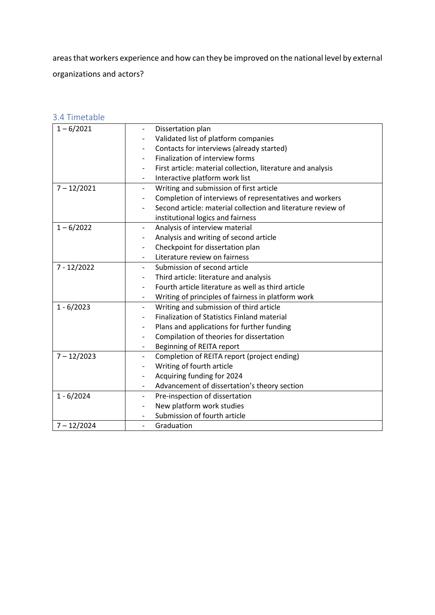areasthat workers experience and how can they be improved on the national level by external organizations and actors?

<span id="page-15-0"></span>

| 3.4 Timetable |  |
|---------------|--|
|               |  |

| $1 - 6/2021$  | Dissertation plan<br>$\overline{\phantom{a}}$                                       |
|---------------|-------------------------------------------------------------------------------------|
|               | Validated list of platform companies                                                |
|               | Contacts for interviews (already started)<br>$\overline{\phantom{a}}$               |
|               | Finalization of interview forms                                                     |
|               | First article: material collection, literature and analysis                         |
|               | Interactive platform work list<br>$\overline{\phantom{a}}$                          |
| $7 - 12/2021$ | Writing and submission of first article<br>$\overline{\phantom{a}}$                 |
|               | Completion of interviews of representatives and workers<br>$\overline{\phantom{a}}$ |
|               | Second article: material collection and literature review of                        |
|               | institutional logics and fairness                                                   |
| $1 - 6/2022$  | Analysis of interview material<br>$\overline{\phantom{a}}$                          |
|               | Analysis and writing of second article                                              |
|               | Checkpoint for dissertation plan<br>$\overline{\phantom{a}}$                        |
|               | Literature review on fairness                                                       |
| 7 - 12/2022   | Submission of second article                                                        |
|               | Third article: literature and analysis                                              |
|               | Fourth article literature as well as third article                                  |
|               | Writing of principles of fairness in platform work<br>$\overline{\phantom{a}}$      |
| $1 - 6/2023$  | Writing and submission of third article<br>$\overline{\phantom{a}}$                 |
|               | <b>Finalization of Statistics Finland material</b>                                  |
|               | Plans and applications for further funding                                          |
|               | Compilation of theories for dissertation<br>$\overline{\phantom{a}}$                |
|               | Beginning of REITA report<br>$\overline{\phantom{a}}$                               |
| $7 - 12/2023$ | Completion of REITA report (project ending)                                         |
|               | Writing of fourth article                                                           |
|               | Acquiring funding for 2024                                                          |
|               | Advancement of dissertation's theory section<br>$\overline{\phantom{a}}$            |
| $1 - 6/2024$  | Pre-inspection of dissertation<br>$\overline{\phantom{a}}$                          |
|               | New platform work studies                                                           |
|               | Submission of fourth article                                                        |
| $7 - 12/2024$ | Graduation<br>$\overline{\phantom{a}}$                                              |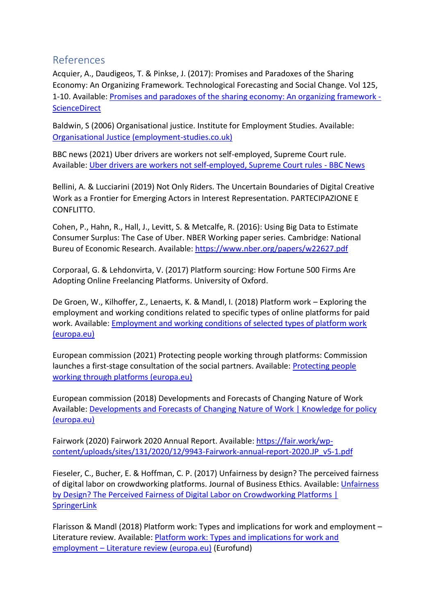### <span id="page-16-0"></span>References

Acquier, A., Daudigeos, T. & Pinkse, J. (2017): Promises and Paradoxes of the Sharing Economy: An Organizing Framework. Technological Forecasting and Social Change. Vol 125, 1-10. Available: [Promises and paradoxes of the sharing economy: An organizing framework -](https://www.sciencedirect.com/science/article/abs/pii/S0040162517309101) **[ScienceDirect](https://www.sciencedirect.com/science/article/abs/pii/S0040162517309101)** 

Baldwin, S (2006) Organisational justice. Institute for Employment Studies. Available: [Organisational Justice \(employment-studies.co.uk\)](https://www.employment-studies.co.uk/system/files/resources/files/mp73.pdf)

BBC news (2021) Uber drivers are workers not self-employed, Supreme Court rule. Available: [Uber drivers are workers not self-employed, Supreme Court rules -](https://www.bbc.com/news/business-56123668) BBC News

Bellini, A. & Lucciarini (2019) Not Only Riders. The Uncertain Boundaries of Digital Creative Work as a Frontier for Emerging Actors in Interest Representation. PARTECIPAZIONE E CONFLITTO.

Cohen, P., Hahn, R., Hall, J., Levitt, S. & Metcalfe, R. (2016): Using Big Data to Estimate Consumer Surplus: The Case of Uber. NBER Working paper series. Cambridge: National Bureu of Economic Research. Available: <https://www.nber.org/papers/w22627.pdf>

Corporaal, G. & Lehdonvirta, V. (2017) Platform sourcing: How Fortune 500 Firms Are Adopting Online Freelancing Platforms. University of Oxford.

De Groen, W., Kilhoffer, Z., Lenaerts, K. & Mandl, I. (2018) Platform work – Exploring the employment and working conditions related to specific types of online platforms for paid work. Available: [Employment and working conditions of selected types of platform work](https://www.eurofound.europa.eu/sites/default/files/ef_publication/field_ef_document/ef18001en.pdf)  [\(europa.eu\)](https://www.eurofound.europa.eu/sites/default/files/ef_publication/field_ef_document/ef18001en.pdf)

European commission (2021) Protecting people working through platforms: Commission launches a first-stage consultation of the social partners. Available: [Protecting people](https://ec.europa.eu/commission/presscorner/detail/en/IP_21_686)  [working through platforms \(europa.eu\)](https://ec.europa.eu/commission/presscorner/detail/en/IP_21_686)

European commission (2018) Developments and Forecasts of Changing Nature of Work Available: [Developments and Forecasts of Changing](https://knowledge4policy.ec.europa.eu/foresight/topic/changing-nature-work/developments-forecasts-changing-nature-work_en) Nature of Work | Knowledge for policy [\(europa.eu\)](https://knowledge4policy.ec.europa.eu/foresight/topic/changing-nature-work/developments-forecasts-changing-nature-work_en)

Fairwork (2020) Fairwork 2020 Annual Report. Available[: https://fair.work/wp](https://fair.work/wp-content/uploads/sites/131/2020/12/9943-Fairwork-annual-report-2020.JP_v5-1.pdf)[content/uploads/sites/131/2020/12/9943-Fairwork-annual-report-2020.JP\\_v5-1.pdf](https://fair.work/wp-content/uploads/sites/131/2020/12/9943-Fairwork-annual-report-2020.JP_v5-1.pdf)

Fieseler, C., Bucher, E. & Hoffman, C. P. (2017) Unfairness by design? The perceived fairness of digital labor on crowdworking platforms. Journal of Business Ethics. Available[: Unfairness](https://link.springer.com/article/10.1007/s10551-017-3607-2)  [by Design? The Perceived Fairness of Digital Labor on Crowdworking Platforms |](https://link.springer.com/article/10.1007/s10551-017-3607-2)  **[SpringerLink](https://link.springer.com/article/10.1007/s10551-017-3607-2)** 

Flarisson & Mandl (2018) Platform work: Types and implications for work and employment – Literature review. Available: **Platform work: Types and implications for work and** employment – [Literature review \(europa.eu\)](https://www.eurofound.europa.eu/sites/default/files/wpef18004.pdf) (Eurofund)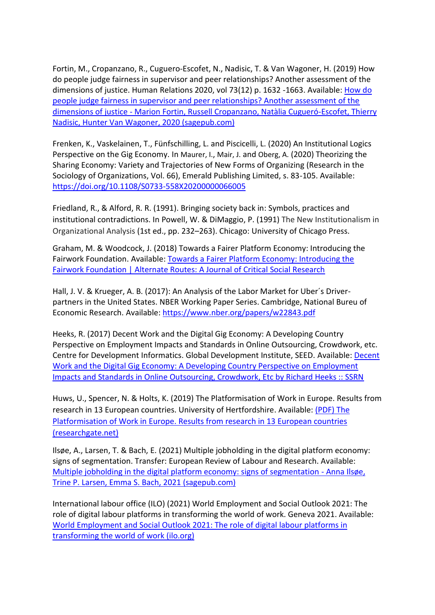Fortin, M., Cropanzano, R., Cuguero-Escofet, N., Nadisic, T. & Van Wagoner, H. (2019) How do people judge fairness in supervisor and peer relationships? Another assessment of the dimensions of justice. Human Relations 2020, vol 73(12) p. 1632 -1663. Available: How do [people judge fairness in supervisor and peer relationships? Another assessment of the](https://journals.sagepub.com/doi/full/10.1177/0018726719875497)  dimensions of justice - [Marion Fortin, Russell Cropanzano, Natàlia Cugueró-Escofet, Thierry](https://journals.sagepub.com/doi/full/10.1177/0018726719875497)  [Nadisic, Hunter Van Wagoner, 2020 \(sagepub.com\)](https://journals.sagepub.com/doi/full/10.1177/0018726719875497)

[Frenken, K.,](https://www.emerald.com/insight/search?q=Koen%20Frenken) [Vaskelainen, T.,](https://www.emerald.com/insight/search?q=Taneli%20Vaskelainen) [Fünfschilling, L.](https://www.emerald.com/insight/search?q=Lea%20F%C3%BCnfschilling) and [Piscicelli, L.](https://www.emerald.com/insight/search?q=Laura%20Piscicelli) (2020) An Institutional Logics Perspective on the Gig Economy. In Maurer, I., Mair, J. and Oberg, A. (2020) Theorizing the Sharing Economy: Variety and Trajectories of New Forms of Organizing (Research in the Sociology of Organizations, Vol. 66), Emerald Publishing Limited, s. 83-105. Available: <https://doi.org/10.1108/S0733-558X20200000066005>

Friedland, R., & Alford, R. R. (1991). Bringing society back in: Symbols, practices and institutional contradictions. In Powell, W. & DiMaggio, P. (1991) The New Institutionalism in Organizational Analysis (1st ed., pp. 232–263). Chicago: University of Chicago Press.

Graham, M. & Woodcock, J. (2018) Towards a Fairer Platform Economy: Introducing the Fairwork Foundation. Available: [Towards a Fairer Platform Economy: Introducing the](http://www.alternateroutes.ca/index.php/ar/article/view/22455)  [Fairwork Foundation | Alternate Routes: A Journal of Critical Social Research](http://www.alternateroutes.ca/index.php/ar/article/view/22455)

Hall, J. V. & Krueger, A. B. (2017): An Analysis of the Labor Market for Uber´s Driverpartners in the United States. NBER Working Paper Series. Cambridge, National Bureu of Economic Research. Available:<https://www.nber.org/papers/w22843.pdf>

Heeks, R. (2017) Decent Work and the Digital Gig Economy: A Developing Country Perspective on Employment Impacts and Standards in Online Outsourcing, Crowdwork, etc. Centre for Development Informatics. Global Development Institute, SEED. Available[: Decent](https://papers.ssrn.com/sol3/papers.cfm?abstract_id=3431033)  [Work and the Digital Gig Economy: A Developing Country Perspective on Employment](https://papers.ssrn.com/sol3/papers.cfm?abstract_id=3431033)  [Impacts and Standards in Online Outsourcing, Crowdwork, Etc by Richard Heeks :: SSRN](https://papers.ssrn.com/sol3/papers.cfm?abstract_id=3431033)

Huws, U., Spencer, N. & Holts, K. (2019) The Platformisation of Work in Europe. Results from research in 13 European countries. University of Hertfordshire. Available: [\(PDF\) The](https://www.researchgate.net/publication/339727028_The_Platformisation_of_Work_in_Europe_Results_from_research_in_13_European_countries)  [Platformisation of Work in Europe. Results from research in 13 European countries](https://www.researchgate.net/publication/339727028_The_Platformisation_of_Work_in_Europe_Results_from_research_in_13_European_countries)  [\(researchgate.net\)](https://www.researchgate.net/publication/339727028_The_Platformisation_of_Work_in_Europe_Results_from_research_in_13_European_countries)

Il[søe,](https://journals.sagepub.com/action/doSearch?target=default&ContribAuthorStored=Ils%C3%B8e%2C+Anna) A., Larsen, T. & Bach, E. (2021) Multiple jobholding in the digital platform economy: signs of segmentation. Transfer: European Review of Labour and Research. Available: [Multiple jobholding in the digital platform economy: signs of segmentation -](https://journals.sagepub.com/doi/full/10.1177/1024258921992629) Anna Ilsøe, [Trine P. Larsen, Emma S. Bach, 2021 \(sagepub.com\)](https://journals.sagepub.com/doi/full/10.1177/1024258921992629)

International labour office (ILO) (2021) World Employment and Social Outlook 2021: The role of digital labour platforms in transforming the world of work. Geneva 2021. Available: [World Employment and Social Outlook 2021: The role of digital labour platforms in](https://www.ilo.org/global/research/global-reports/weso/2021/WCMS_771749/lang--en/index.htm)  [transforming the world of work \(ilo.org\)](https://www.ilo.org/global/research/global-reports/weso/2021/WCMS_771749/lang--en/index.htm)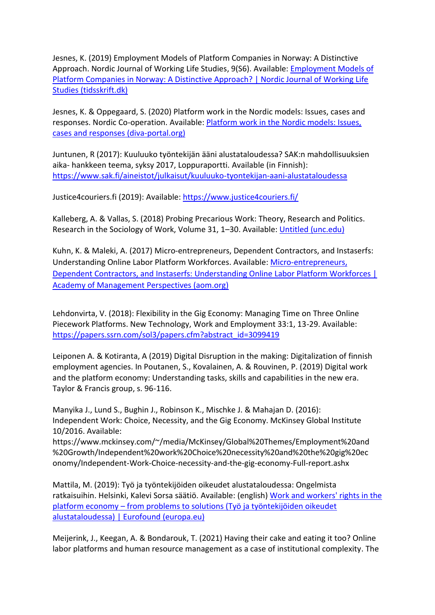Jesnes, K. (2019) Employment Models of Platform Companies in Norway: A Distinctive Approach. Nordic Journal of Working Life Studies, 9(S6). Available: [Employment Models of](https://tidsskrift.dk/njwls/article/view/114691)  [Platform Companies in Norway: A Distinctive Approach? | Nordic Journal of Working Life](https://tidsskrift.dk/njwls/article/view/114691)  [Studies \(tidsskrift.dk\)](https://tidsskrift.dk/njwls/article/view/114691)

Jesnes, K. & Oppegaard, S. (2020) Platform work in the Nordic models: Issues, cases and responses. Nordic Co-operation. Available: [Platform work in the Nordic models: Issues,](http://norden.diva-portal.org/smash/record.jsf?pid=diva2%3A1431693&dswid=-6514)  [cases and responses \(diva-portal.org\)](http://norden.diva-portal.org/smash/record.jsf?pid=diva2%3A1431693&dswid=-6514)

Juntunen, R (2017): Kuuluuko työntekijän ääni alustataloudessa? SAK:n mahdollisuuksien aika- hankkeen teema, syksy 2017, Loppuraportti. Available (in Finnish): <https://www.sak.fi/aineistot/julkaisut/kuuluuko-tyontekijan-aani-alustataloudessa>

Justice4couriers.fi (2019): Available:<https://www.justice4couriers.fi/>

Kalleberg, A. & Vallas, S. (2018) Probing Precarious Work: Theory, Research and Politics. Research in the Sociology of Work, Volume 31, 1–30. Available: [Untitled \(unc.edu\)](https://arnekalleberg.web.unc.edu/wp-content/uploads/sites/7550/2018/01/Precarious-Work-CH-1.pdf)

Kuhn, K. & Maleki, A. (2017) [Micro-entrepreneurs, Dependent Contractors, and Instaserfs:](https://journals.aom.org/doi/full/10.5465/amp.2015.0111)  [Understanding Online Labor Platform Workforces.](https://journals.aom.org/doi/full/10.5465/amp.2015.0111) Available: [Micro-entrepreneurs,](https://journals.aom.org/doi/abs/10.5465/amp.2015.0111)  [Dependent Contractors, and Instaserfs: Understanding Online Labor Platform Workforces |](https://journals.aom.org/doi/abs/10.5465/amp.2015.0111)  [Academy of Management Perspectives \(aom.org\)](https://journals.aom.org/doi/abs/10.5465/amp.2015.0111)

Lehdonvirta, V. (2018): Flexibility in the Gig Economy: Managing Time on Three Online Piecework Platforms. New Technology, Work and Employment 33:1, 13-29. Available: https://papers.ssrn.com/sol3/papers.cfm?abstract\_id=3099419

Leiponen A. & Kotiranta, A (2019) Digital Disruption in the making: Digitalization of finnish employment agencies. In Poutanen, S., Kovalainen, A. & Rouvinen, P. (2019) Digital work and the platform economy: Understanding tasks, skills and capabilities in the new era. Taylor & Francis group, s. 96-116.

Manyika J., Lund S., Bughin J., Robinson K., Mischke J. & Mahajan D. (2016): Independent Work: Choice, Necessity, and the Gig Economy. McKinsey Global Institute 10/2016. Available:

https://www.mckinsey.com/~/media/McKinsey/Global%20Themes/Employment%20and %20Growth/Independent%20work%20Choice%20necessity%20and%20the%20gig%20ec onomy/Independent-Work-Choice-necessity-and-the-gig-economy-Full-report.ashx

Mattila, M. (2019): Työ ja työntekijöiden oikeudet alustataloudessa: Ongelmista ratkaisuihin. Helsinki, Kalevi Sorsa säätiö. Available: (english) [Work and workers' rights in the](https://www.eurofound.europa.eu/data/platform-economy/records/work-and-workers-rights-in-the-platform-economy-from-problems-to-solutions-tyo-ja-tyontekijoiden)  platform economy – [from problems to solutions \(Työ ja työntekijöiden oikeudet](https://www.eurofound.europa.eu/data/platform-economy/records/work-and-workers-rights-in-the-platform-economy-from-problems-to-solutions-tyo-ja-tyontekijoiden)  [alustataloudessa\) | Eurofound \(europa.eu\)](https://www.eurofound.europa.eu/data/platform-economy/records/work-and-workers-rights-in-the-platform-economy-from-problems-to-solutions-tyo-ja-tyontekijoiden)

Meijerink, J., Keegan, A. & Bondarouk, T. (2021) Having their cake and eating it too? Online labor platforms and human resource management as a case of institutional complexity. The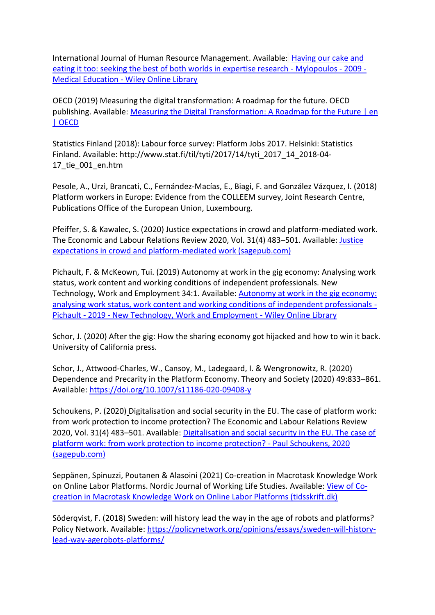International Journal of Human Resource Management. Available: [Having our cake and](https://onlinelibrary.wiley.com/doi/abs/10.1111/j.1365-2923.2009.03307.x)  [eating it too: seeking the best of both worlds in expertise research -](https://onlinelibrary.wiley.com/doi/abs/10.1111/j.1365-2923.2009.03307.x) Mylopoulos - 2009 - Medical Education - [Wiley Online Library](https://onlinelibrary.wiley.com/doi/abs/10.1111/j.1365-2923.2009.03307.x)

OECD (2019) Measuring the digital transformation: A roadmap for the future. OECD publishing. Available: [Measuring the Digital Transformation: A Roadmap](https://www.oecd.org/publications/measuring-the-digital-transformation-9789264311992-en.htm) for the Future | en [| OECD](https://www.oecd.org/publications/measuring-the-digital-transformation-9789264311992-en.htm)

Statistics Finland (2018): Labour force survey: Platform Jobs 2017. Helsinki: Statistics Finland. Available: http://www.stat.fi/til/tyti/2017/14/tyti\_2017\_14\_2018-04- 17\_tie\_001\_en.htm

Pesole, A., Urzì, Brancati, C., Fernández-Macías, E., Biagi, F. and González Vázquez, I. (2018) Platform workers in Europe: Evidence from the COLLEEM survey, Joint Research Centre, Publications Office of the European Union, Luxembourg.

Pfeiffer, S. & Kawalec, S. (2020) Justice expectations in crowd and platform-mediated work. The Economic and Labour Relations Review 2020, Vol. 31(4) 483–501. Available[: Justice](https://journals.sagepub.com/doi/pdf/10.1177/1035304620959750)  [expectations in crowd and platform-mediated work \(sagepub.com\)](https://journals.sagepub.com/doi/pdf/10.1177/1035304620959750)

Pichault, F. & McKeown, Tui. (2019) Autonomy at work in the gig economy: Analysing work status, work content and working conditions of independent professionals. New Technology, Work and Employment 34:1. Available: [Autonomy at work in the gig economy:](https://onlinelibrary.wiley.com/doi/full/10.1111/ntwe.12132)  [analysing work status, work content and working conditions of independent professionals -](https://onlinelibrary.wiley.com/doi/full/10.1111/ntwe.12132) Pichault - 2019 - [New Technology, Work and Employment -](https://onlinelibrary.wiley.com/doi/full/10.1111/ntwe.12132) Wiley Online Library

Schor, J. (2020) After the gig: How the sharing economy got hijacked and how to win it back. University of California press.

Schor, J., Attwood-Charles, W., Cansoy, M., Ladegaard, I. & Wengronowitz, R. (2020) Dependence and Precarity in the Platform Economy. Theory and Society (2020) 49:833–861. Available:<https://doi.org/10.1007/s11186-020-09408-y>

Schoukens, P. (2020) Digitalisation and social security in the EU. The case of platform work: from work protection to income protection? The Economic and Labour Relations Review 2020, Vol. 31(4) 483–501. Available: [Digitalisation and social security in the EU. The case of](https://journals.sagepub.com/doi/full/10.1177/1388262720971300)  [platform work: from work protection to income protection? -](https://journals.sagepub.com/doi/full/10.1177/1388262720971300) Paul Schoukens, 2020 [\(sagepub.com\)](https://journals.sagepub.com/doi/full/10.1177/1388262720971300)

Seppänen, Spinuzzi, Poutanen & Alasoini (2021) Co-creation in Macrotask Knowledge Work on Online Labor Platforms. Nordic Journal of Working Life Studies. Available: [View of Co](https://tidsskrift.dk/njwls/article/view/123166/170221)[creation in Macrotask Knowledge Work on Online Labor Platforms \(tidsskrift.dk\)](https://tidsskrift.dk/njwls/article/view/123166/170221)

Söderqvist, F. (2018) Sweden: will history lead the way in the age of robots and platforms? Policy Network. Available: [https://policynetwork.org/opinions/essays/sweden-will-history](https://policynetwork.org/opinions/essays/sweden-will-history-lead-way-agerobots-platforms/)[lead-way-agerobots-platforms/](https://policynetwork.org/opinions/essays/sweden-will-history-lead-way-agerobots-platforms/)